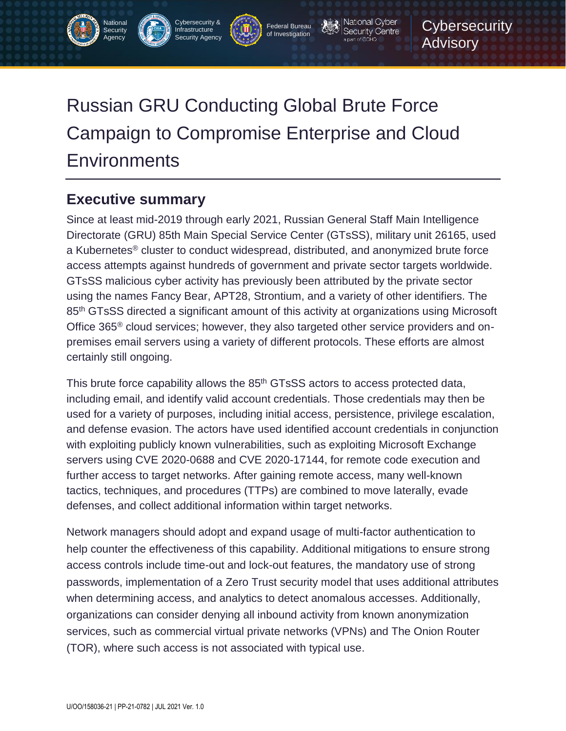# Russian GRU Conducting Global Brute Force Campaign to Compromise Enterprise and Cloud **Environments**

Cybersecurity & Infrastructure Security Agency

Federal Bureau of Investigation

National Cyber Security Centre a part of GCHQ

**Cybersecurity** 

Advisory

# **Executive summary**

National **Security** Agency

Since at least mid-2019 through early 2021, Russian General Staff Main Intelligence Directorate (GRU) 85th Main Special Service Center (GTsSS), military unit 26165, used a Kubernetes® cluster to conduct widespread, distributed, and anonymized brute force access attempts against hundreds of government and private sector targets worldwide. GTsSS malicious cyber activity has previously been attributed by the private sector using the names Fancy Bear, APT28, Strontium, and a variety of other identifiers. The 85<sup>th</sup> GTsSS directed a significant amount of this activity at organizations using Microsoft Office 365® cloud services; however, they also targeted other service providers and onpremises email servers using a variety of different protocols. These efforts are almost certainly still ongoing.

This brute force capability allows the 85<sup>th</sup> GTsSS actors to access protected data, including email, and identify valid account credentials. Those credentials may then be used for a variety of purposes, including initial access, persistence, privilege escalation, and defense evasion. The actors have used identified account credentials in conjunction with exploiting publicly known vulnerabilities, such as exploiting Microsoft Exchange servers using CVE 2020-0688 and CVE 2020-17144, for remote code execution and further access to target networks. After gaining remote access, many well-known tactics, techniques, and procedures (TTPs) are combined to move laterally, evade defenses, and collect additional information within target networks.

Network managers should adopt and expand usage of multi-factor authentication to help counter the effectiveness of this capability. Additional mitigations to ensure strong access controls include time-out and lock-out features, the mandatory use of strong passwords, implementation of a Zero Trust security model that uses additional attributes when determining access, and analytics to detect anomalous accesses. Additionally, organizations can consider denying all inbound activity from known anonymization services, such as commercial virtual private networks (VPNs) and The Onion Router (TOR), where such access is not associated with typical use.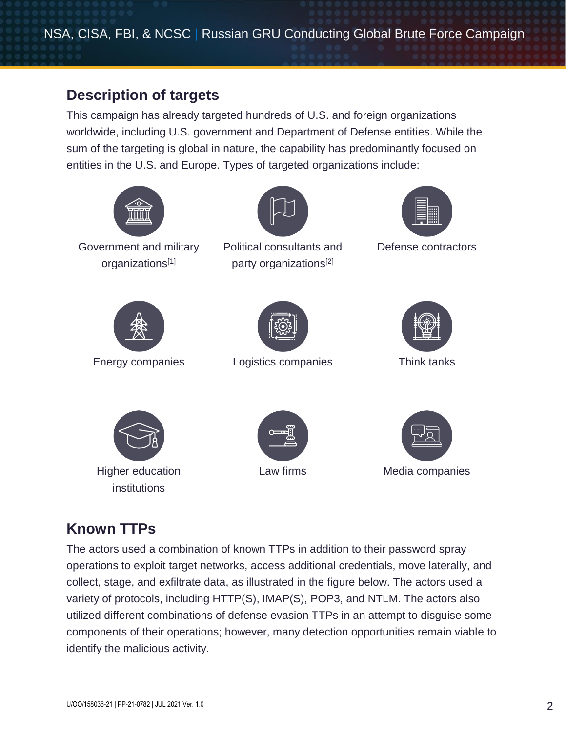NSA, CISA, FBI, & NCSC | Russian GRU Conducting Global Brute Force Campaign

### **Description of targets**

This campaign has already targeted hundreds of U.S. and foreign organizations worldwide, including U.S. government and Department of Defense entities. While the sum of the targeting is global in nature, the capability has predominantly focused on entities in the U.S. and Europe. Types of targeted organizations include:



# **Known TTPs**

The actors used a combination of known TTPs in addition to their password spray operations to exploit target networks, access additional credentials, move laterally, and collect, stage, and exfiltrate data, as illustrated in the figure below. The actors used a variety of protocols, including HTTP(S), IMAP(S), POP3, and NTLM. The actors also utilized different combinations of defense evasion TTPs in an attempt to disguise some components of their operations; however, many detection opportunities remain viable to identify the malicious activity.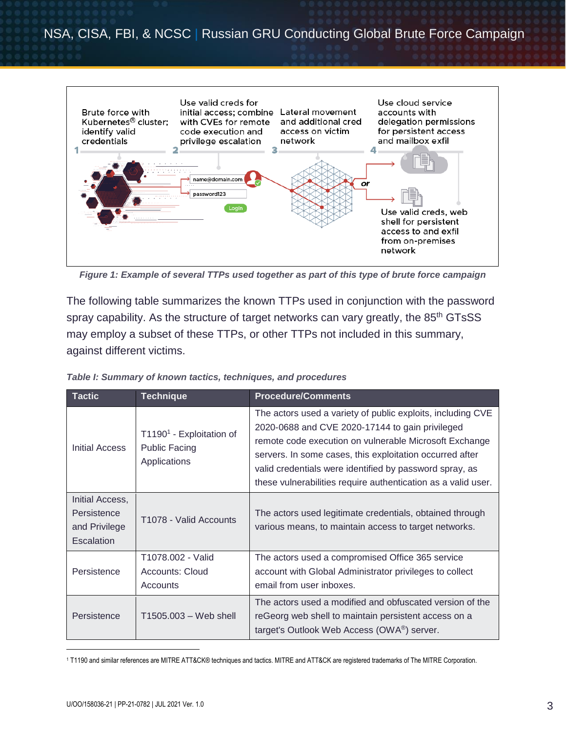

*Figure 1: Example of several TTPs used together as part of this type of brute force campaign*

The following table summarizes the known TTPs used in conjunction with the password spray capability. As the structure of target networks can vary greatly, the 85<sup>th</sup> GTsSS may employ a subset of these TTPs, or other TTPs not included in this summary, against different victims.

| <b>Tactic</b>                                                 | <b>Technique</b>                                                             | <b>Procedure/Comments</b>                                                                                                                                                                                                                                                                                                                                        |
|---------------------------------------------------------------|------------------------------------------------------------------------------|------------------------------------------------------------------------------------------------------------------------------------------------------------------------------------------------------------------------------------------------------------------------------------------------------------------------------------------------------------------|
| Initial Access                                                | T1190 <sup>1</sup> - Exploitation of<br><b>Public Facing</b><br>Applications | The actors used a variety of public exploits, including CVE<br>2020-0688 and CVE 2020-17144 to gain privileged<br>remote code execution on vulnerable Microsoft Exchange<br>servers. In some cases, this exploitation occurred after<br>valid credentials were identified by password spray, as<br>these vulnerabilities require authentication as a valid user. |
| Initial Access,<br>Persistence<br>and Privilege<br>Escalation | T1078 - Valid Accounts                                                       | The actors used legitimate credentials, obtained through<br>various means, to maintain access to target networks.                                                                                                                                                                                                                                                |
| Persistence                                                   | T1078.002 - Valid<br><b>Accounts: Cloud</b><br>Accounts                      | The actors used a compromised Office 365 service<br>account with Global Administrator privileges to collect<br>email from user inboxes.                                                                                                                                                                                                                          |
| Persistence                                                   | T1505.003 - Web shell                                                        | The actors used a modified and obfuscated version of the<br>reGeorg web shell to maintain persistent access on a<br>target's Outlook Web Access (OWA®) server.                                                                                                                                                                                                   |

*Table I: Summary of known tactics, techniques, and procedures*

 $\overline{a}$ 

<sup>1</sup> T1190 and similar references are MITRE ATT&CK® techniques and tactics. MITRE and ATT&CK are registered trademarks of The MITRE Corporation.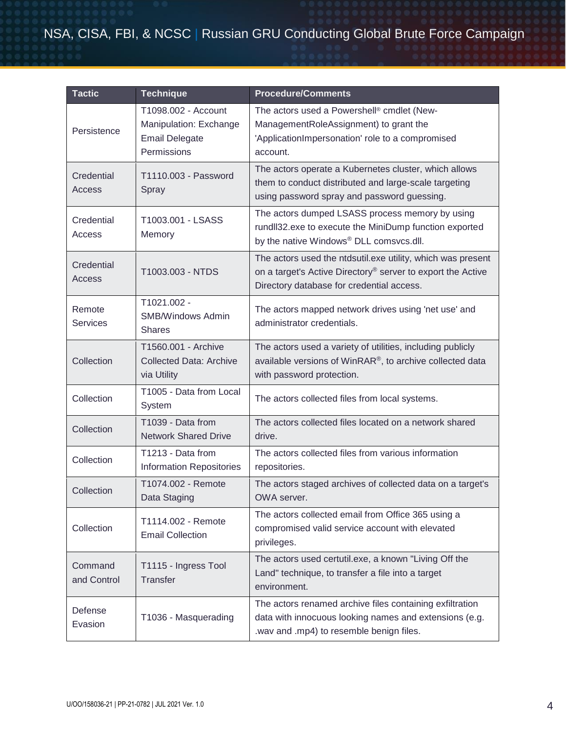# NSA, CISA, FBI, & NCSC | Russian GRU Conducting Global Brute Force Campaign

| <b>Tactic</b>             | <b>Technique</b>                                                                      | <b>Procedure/Comments</b>                                                                                                                                               |
|---------------------------|---------------------------------------------------------------------------------------|-------------------------------------------------------------------------------------------------------------------------------------------------------------------------|
| Persistence               | T1098.002 - Account<br>Manipulation: Exchange<br><b>Email Delegate</b><br>Permissions | The actors used a Powershell® cmdlet (New-<br>ManagementRoleAssignment) to grant the<br>'ApplicationImpersonation' role to a compromised<br>account.                    |
| Credential<br>Access      | T1110.003 - Password<br>Spray                                                         | The actors operate a Kubernetes cluster, which allows<br>them to conduct distributed and large-scale targeting<br>using password spray and password guessing.           |
| Credential<br>Access      | T1003.001 - LSASS<br>Memory                                                           | The actors dumped LSASS process memory by using<br>rundll32.exe to execute the MiniDump function exported<br>by the native Windows® DLL comsvcs.dll.                    |
| Credential<br>Access      | T1003.003 - NTDS                                                                      | The actors used the ntdsutil.exe utility, which was present<br>on a target's Active Directory® server to export the Active<br>Directory database for credential access. |
| Remote<br><b>Services</b> | T1021.002 -<br><b>SMB/Windows Admin</b><br><b>Shares</b>                              | The actors mapped network drives using 'net use' and<br>administrator credentials.                                                                                      |
| Collection                | T1560.001 - Archive<br><b>Collected Data: Archive</b><br>via Utility                  | The actors used a variety of utilities, including publicly<br>available versions of WinRAR®, to archive collected data<br>with password protection.                     |
| Collection                | T1005 - Data from Local<br>System                                                     | The actors collected files from local systems.                                                                                                                          |
| Collection                | T1039 - Data from<br><b>Network Shared Drive</b>                                      | The actors collected files located on a network shared<br>drive.                                                                                                        |
| Collection                | T1213 - Data from<br><b>Information Repositories</b>                                  | The actors collected files from various information<br>repositories.                                                                                                    |
| Collection                | T1074.002 - Remote<br>Data Staging                                                    | The actors staged archives of collected data on a target's<br>OWA server.                                                                                               |
| Collection                | T1114.002 - Remote<br><b>Email Collection</b>                                         | The actors collected email from Office 365 using a<br>compromised valid service account with elevated<br>privileges.                                                    |
| Command<br>and Control    | T1115 - Ingress Tool<br>Transfer                                                      | The actors used certutil.exe, a known "Living Off the<br>Land" technique, to transfer a file into a target<br>environment.                                              |
| Defense<br>Evasion        | T1036 - Masquerading                                                                  | The actors renamed archive files containing exfiltration<br>data with innocuous looking names and extensions (e.g.<br>.wav and .mp4) to resemble benign files.          |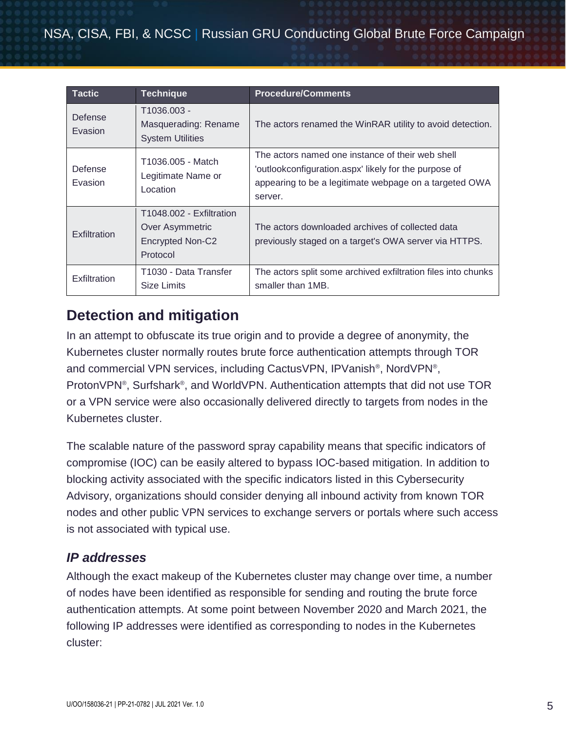| <b>Tactic</b>      | <b>Technique</b>                                                            | <b>Procedure/Comments</b>                                                                                                                                                      |
|--------------------|-----------------------------------------------------------------------------|--------------------------------------------------------------------------------------------------------------------------------------------------------------------------------|
| Defense<br>Evasion | T1036.003 -<br>Masquerading: Rename<br><b>System Utilities</b>              | The actors renamed the WinRAR utility to avoid detection.                                                                                                                      |
| Defense<br>Evasion | T1036.005 - Match<br>Legitimate Name or<br>Location                         | The actors named one instance of their web shell<br>'outlookconfiguration.aspx' likely for the purpose of<br>appearing to be a legitimate webpage on a targeted OWA<br>server. |
| Exfiltration       | T1048.002 - Exfiltration<br>Over Asymmetric<br>Encrypted Non-C2<br>Protocol | The actors downloaded archives of collected data<br>previously staged on a target's OWA server via HTTPS.                                                                      |
| Exfiltration       | T1030 - Data Transfer<br><b>Size Limits</b>                                 | The actors split some archived exfiltration files into chunks<br>smaller than 1MB.                                                                                             |

# **Detection and mitigation**

In an attempt to obfuscate its true origin and to provide a degree of anonymity, the Kubernetes cluster normally routes brute force authentication attempts through TOR and commercial VPN services, including CactusVPN, IPVanish® , NordVPN® , ProtonVPN<sup>®</sup>, Surfshark<sup>®</sup>, and WorldVPN. Authentication attempts that did not use TOR or a VPN service were also occasionally delivered directly to targets from nodes in the Kubernetes cluster.

The scalable nature of the password spray capability means that specific indicators of compromise (IOC) can be easily altered to bypass IOC-based mitigation. In addition to blocking activity associated with the specific indicators listed in this Cybersecurity Advisory, organizations should consider denying all inbound activity from known TOR nodes and other public VPN services to exchange servers or portals where such access is not associated with typical use.

### *IP addresses*

Although the exact makeup of the Kubernetes cluster may change over time, a number of nodes have been identified as responsible for sending and routing the brute force authentication attempts. At some point between November 2020 and March 2021, the following IP addresses were identified as corresponding to nodes in the Kubernetes cluster: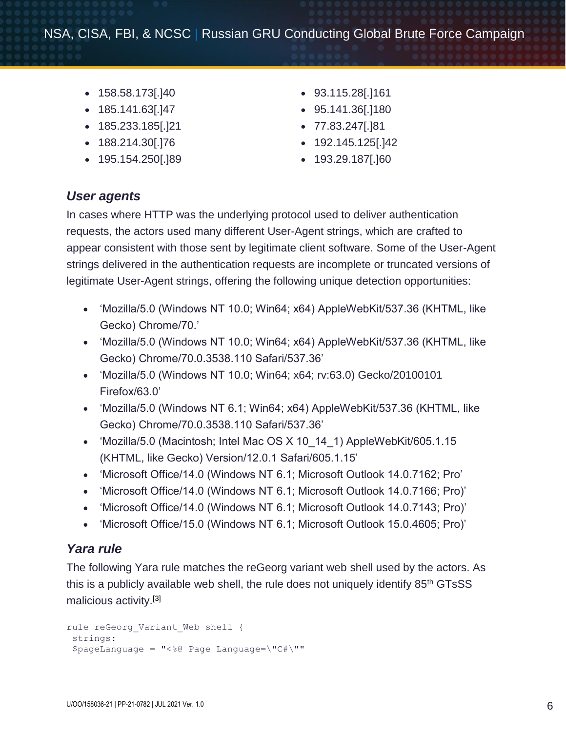- $\bullet$  158.58.173[.]40
- $\bullet$  185.141.63[.]47
- 185.233.185[.]21
- 188.214.30[.]76
- 195.154.250[.]89
- 93.115.28[.]161
- 95.141.36[.]180
- 77.83.247[.]81
- 192.145.125[.]42
- 193.29.187[.]60

### *User agents*

In cases where HTTP was the underlying protocol used to deliver authentication requests, the actors used many different User-Agent strings, which are crafted to appear consistent with those sent by legitimate client software. Some of the User-Agent strings delivered in the authentication requests are incomplete or truncated versions of legitimate User-Agent strings, offering the following unique detection opportunities:

- 'Mozilla/5.0 (Windows NT 10.0; Win64; x64) AppleWebKit/537.36 (KHTML, like Gecko) Chrome/70.'
- 'Mozilla/5.0 (Windows NT 10.0; Win64; x64) AppleWebKit/537.36 (KHTML, like Gecko) Chrome/70.0.3538.110 Safari/537.36'
- 'Mozilla/5.0 (Windows NT 10.0; Win64; x64; rv:63.0) Gecko/20100101 Firefox/63.0'
- 'Mozilla/5.0 (Windows NT 6.1; Win64; x64) AppleWebKit/537.36 (KHTML, like Gecko) Chrome/70.0.3538.110 Safari/537.36'
- 'Mozilla/5.0 (Macintosh; Intel Mac OS X 10 14 1) AppleWebKit/605.1.15 (KHTML, like Gecko) Version/12.0.1 Safari/605.1.15'
- 'Microsoft Office/14.0 (Windows NT 6.1; Microsoft Outlook 14.0.7162; Pro'
- 'Microsoft Office/14.0 (Windows NT 6.1; Microsoft Outlook 14.0.7166; Pro)'
- 'Microsoft Office/14.0 (Windows NT 6.1; Microsoft Outlook 14.0.7143; Pro)'
- 'Microsoft Office/15.0 (Windows NT 6.1; Microsoft Outlook 15.0.4605; Pro)'

#### *Yara rule*

The following Yara rule matches the reGeorg variant web shell used by the actors. As this is a publicly available web shell, the rule does not uniquely identify 85<sup>th</sup> GTsSS malicious activity.[\[3\]](#page-7-0)

```
rule reGeorg Variant Web shell {
 strings:
 $pageLanguage = "<%@ Page Language=\"C#\""
```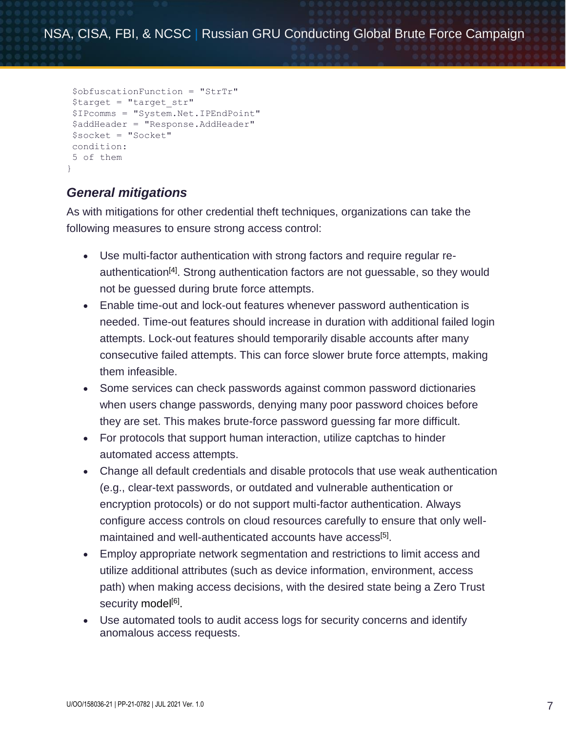```
$obfuscationFunction = "StrTr"
$target = "target_str"
$IPcomms = "System.Net.IPEndPoint"
$addHeader = "Response.AddHeader"
$socket = "Socket"
condition:
5 of them
}
```
### *General mitigations*

As with mitigations for other credential theft techniques, organizations can take the following measures to ensure strong access control:

- Use multi-factor authentication with strong factors and require regular re-authentication<sup>[\[4\]](#page-7-0)</sup>. Strong authentication factors are not guessable, so they would not be guessed during brute force attempts.
- Enable time-out and lock-out features whenever password authentication is needed. Time-out features should increase in duration with additional failed login attempts. Lock-out features should temporarily disable accounts after many consecutive failed attempts. This can force slower brute force attempts, making them infeasible.
- Some services can check passwords against common password dictionaries when users change passwords, denying many poor password choices before they are set. This makes brute-force password guessing far more difficult.
- For protocols that support human interaction, utilize captchas to hinder automated access attempts.
- Change all default credentials and disable protocols that use weak authentication (e.g., clear-text passwords, or outdated and vulnerable authentication or encryption protocols) or do not support multi-factor authentication. Always configure access controls on cloud resources carefully to ensure that only well-maintained and well-authenticated accounts have access<sup>[\[5\]](#page-7-0)</sup>.
- Employ appropriate network segmentation and restrictions to limit access and utilize additional attributes (such as device information, environment, access path) when making access decisions, with the desired state being a Zero Trust security model<sup>[\[6\]](#page-7-0)</sup>.
- Use automated tools to audit access logs for security concerns and identify anomalous access requests.